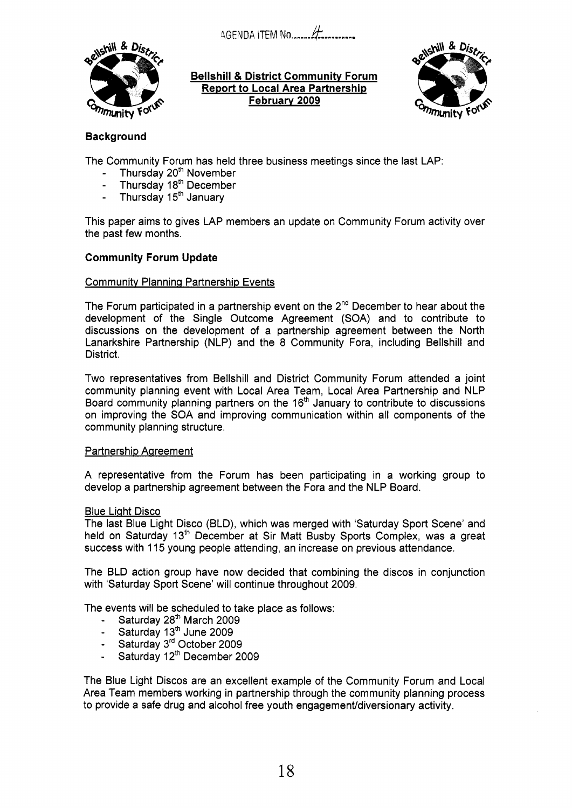!AGENDA fTEM **No** ...... *k.........* 



**Bellshill** & **District Community Forum Report to Local Area Partnership February 2009** 



# **Background**

The Community Forum has held three business meetings since the last LAP:

- Thursday  $20^{th}$  November<br>- Thursday 18<sup>th</sup> December
- Thursday 18<sup>th</sup> December
- Thursday 15<sup>th</sup> January

This paper aims to gives LAP members an update on Community Forum activity over the past few months.

## **Community Forum Update**

## Communitv Planning Partnership Events

The Forum participated in a partnership event on the  $2<sup>nd</sup>$  December to hear about the development of the Single Outcome Agreement (SOA) and to contribute to discussions on the development of a partnership agreement between the North Lanarkshire Partnership (NLP) and the 8 Community Fora, including Bellshill and District.

Two representatives from Bellshill and District Community Forum attended a joint community planning event with Local Area Team, Local Area Partnership and NLP Board community planning partners on the  $16<sup>th</sup>$  January to contribute to discussions on improving the SOA and improving communication within all components of the community planning structure.

## Partnership Agreement

A representative from the Forum has been participating in a working group to develop a partnership agreement between the Fora and the NLP Board.

## Blue Light Disco

The last Blue Light Disco (BLD), which was merged with 'Saturday Sport Scene' and held on Saturday 13<sup>th</sup> December at Sir Matt Busby Sports Complex, was a great success with 115 young people attending, an increase on previous attendance.

The BLD action group have now decided that combining the discos in conjunction with 'Saturday Sport Scene' will continue throughout 2009.

The events will be scheduled to take place as follows:

- Saturday 28'h March 2009
- Saturday  $13<sup>th</sup>$  June 2009
- Saturday 3rd October 2009
- Saturday 12<sup>th</sup> December 2009

The Blue Light Discos are an excellent example of the Community Forum and Local Area Team members working in partnership through the community planning process to provide a safe drug and alcohol free youth engagement/diversionary activity.